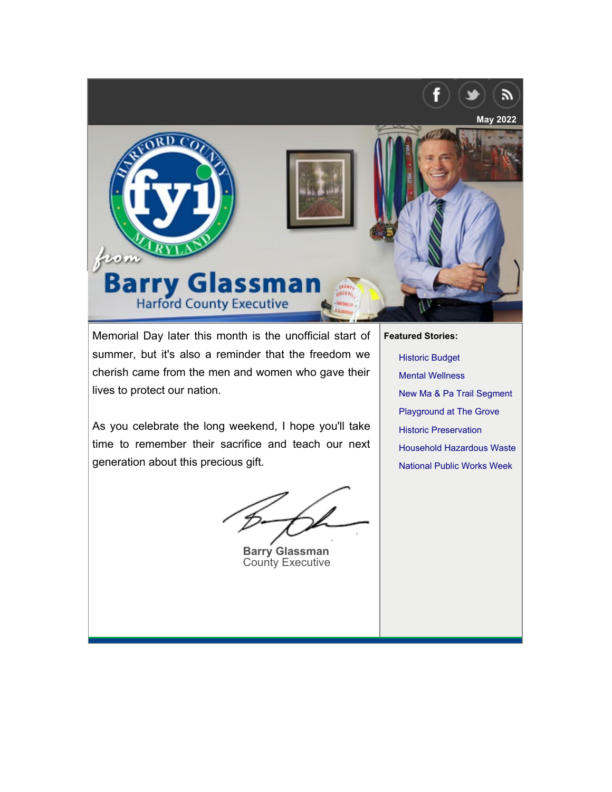<span id="page-0-0"></span>

Memorial Day later this month is the unofficial start of summer, but it's also a reminder that the freedom we cherish came from the men and women who gave their lives to protect our nation.

As you celebrate the long weekend, I hope you'll take time to remember their sacrifice and teach our next generation about this precious gift.

**Barry Glassman** County Executive

**Fe[atured Stories:](#page-2-0)**

[Historic Budget](#page-2-1) [Mental Wellness](#page-3-0) [New Ma & Pa Trail Segment](#page-3-1) [Playground at The Grove](#page-4-0) Historic Preservation Household Hazardous Waste National Public Works Week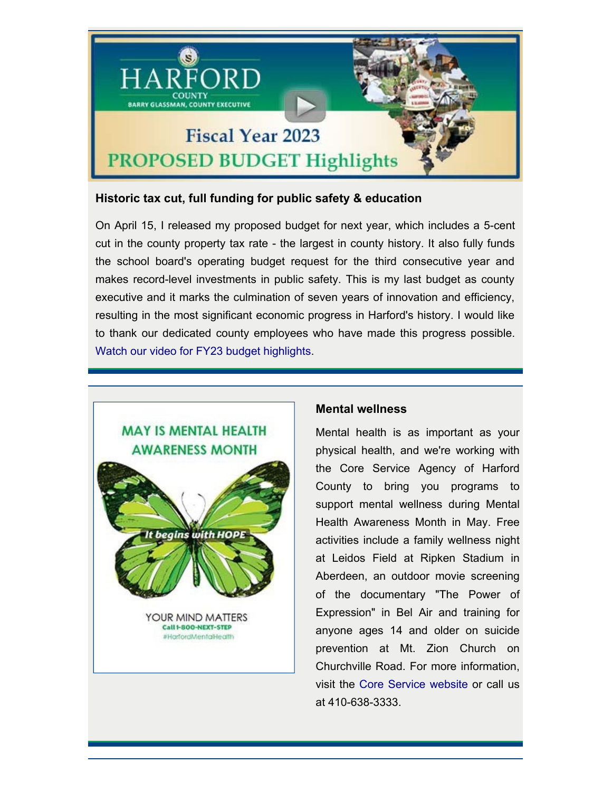

# **Historic tax cut, full funding for public safety & education**

On April 15, I released my proposed budget for next year, which includes a 5-cent cut in the county property tax rate - the largest in county history. It also fully funds [the school board's operating budget re](https://harfordmentalhealth.org/news-events/)quest for the third consecutive year and makes record-level investments in public safety. This is my last budget as county executive and it marks the culmination of seven years of innovation and efficiency, resulting in the most significant economic progress in Harford's history. I would like to thank our dedicated county employees who have made this progress possible. [Watch our video for FY23 budget highlights](https://www.harfordcountymd.gov/1531/Budget-Efficiency).



## **[Mental](#page-0-0) [wellness](#page-0-0)**

Mental health is as important as your physical health, and we're working with the Core Service Agency of Harford County to bring you programs to support mental wellness during Mental Health Awareness Month in May. Free activities include a family wellness night at Leidos Field at Ripken Stadium in Aberdeen, an outdoor movie screening of the documentary "The Power of Expression" in Bel Air and training for anyone ages 14 and older on suicide prevention at Mt. Zion Church on Churchville Road. For more information, visit the [Core Service website](https://harfordmentalhealth.org/news-events/) or call us at 410-638-3333.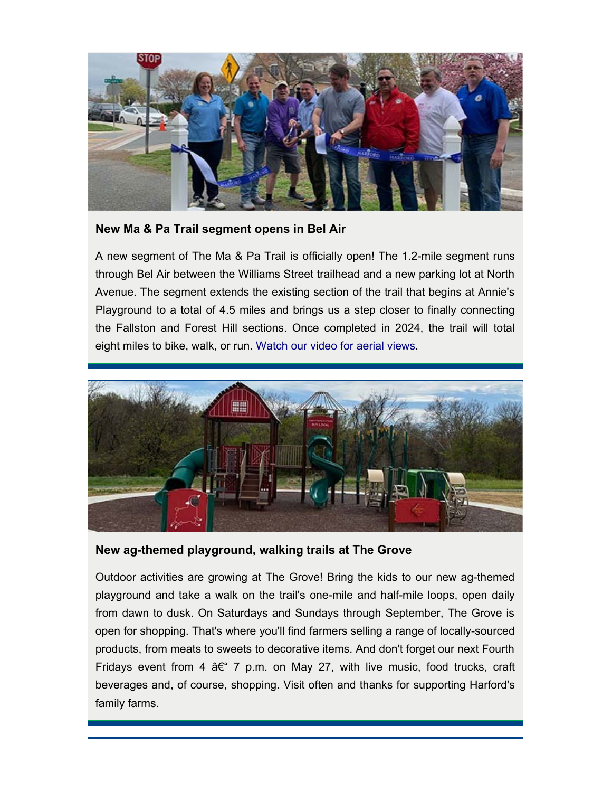

## <span id="page-2-0"></span>**New Ma & Pa Trail segment opens in Bel Air**

A new segment of The Ma & Pa Trail is officially open! The 1.2-mile segment runs through Bel Air between the Williams Street trailhead and a new parking lot at North Avenue. The segment extends the existing section of the trail that begins at Annie's Playground to a total of 4.5 miles and brings us a step closer to finally connecting the Fallston and Forest Hill sections. Once completed in 2024, the trail will total eight miles to bike, walk, or run. [Watch our video for aerial views.](https://youtu.be/8D5xDRcdAs0)



#### <span id="page-2-1"></span>**New ag-themed playground, walking trails at The Grove**

Outdoor activities are growing at The Grove! Bring the kids to our new ag-themed playground and take a walk on the trail's one-mile and half-mile loops, open daily from dawn to dusk. On Saturdays and Sundays through September, The Grove is open for shopping. That's where you'll find farmers selling a range of locally-sourced products, from meats to sweets to decorative items. And don't forget our next Fourth Fridays event from 4  $A \in \mathcal{F}$  7 p.m. on May 27, with live music, food trucks, craft beverages and, of course, shopping. Visit often and thanks for supporting Harford's family farms.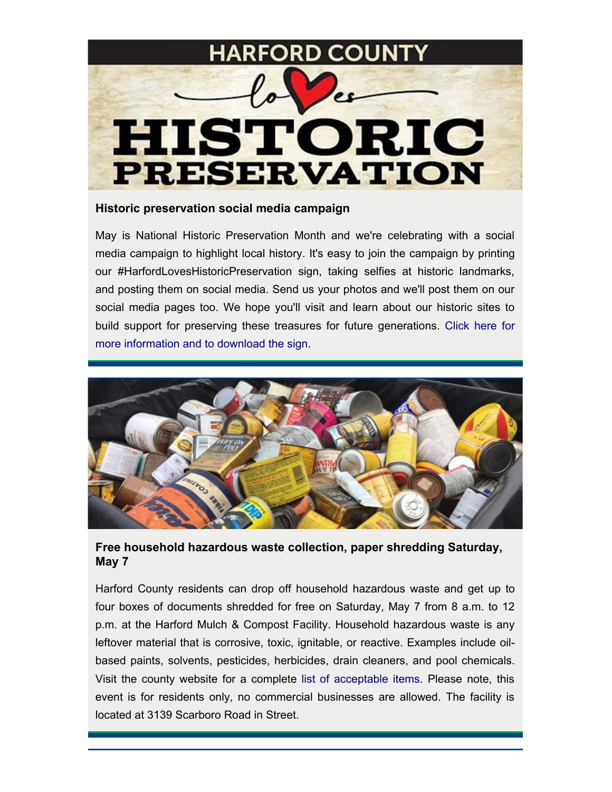

#### <span id="page-3-0"></span>**Historic preservation social media campaign**

May is National Historic Preservation Month and we're celebrating with a social media campaign to highlight local history. It's easy to join the campaign by printing our #HarfordLovesHistoricPreservation sign, taking selfies at historic landmarks, and posting them on social media. Send us your photos and we'll post them on our social media pages too. We hope you'll visit and learn about our historic sites to build support for preserving these treasures for future generations. [Click here for](file:///H/GCR/FYI-%20County%20Exec%20Newsletter/County%20Executive%20Newsletter/e-Newsletter%20Copies/2022/2022_05_May/www.harfordcountymd.gov/HistoricPreservation) [more information and to download the sign](file:///H/GCR/FYI-%20County%20Exec%20Newsletter/County%20Executive%20Newsletter/e-Newsletter%20Copies/2022/2022_05_May/www.harfordcountymd.gov/HistoricPreservation).



# <span id="page-3-1"></span>**Free household hazardous waste collection, paper shredding Saturday, May 7**

Harford County residents can drop off household hazardous waste and get up to four boxes of documents shredded for free on Saturday, May 7 from 8 a.m. to 12 p.m. at the Harford Mulch & Compost Facility. Household hazardous waste is any leftover material that is corrosive, toxic, ignitable, or reactive. Examples include oilbased paints, solvents, pesticides, herbicides, drain cleaners, and pool chemicals. Visit the county website for a complete [list of acceptable items](http://www.harfordcountymd.gov/276/Household-Hazardous-Waste). Please note, this event is for residents only, no commercial businesses are allowed. The facility is located at 3139 Scarboro Road in Street.